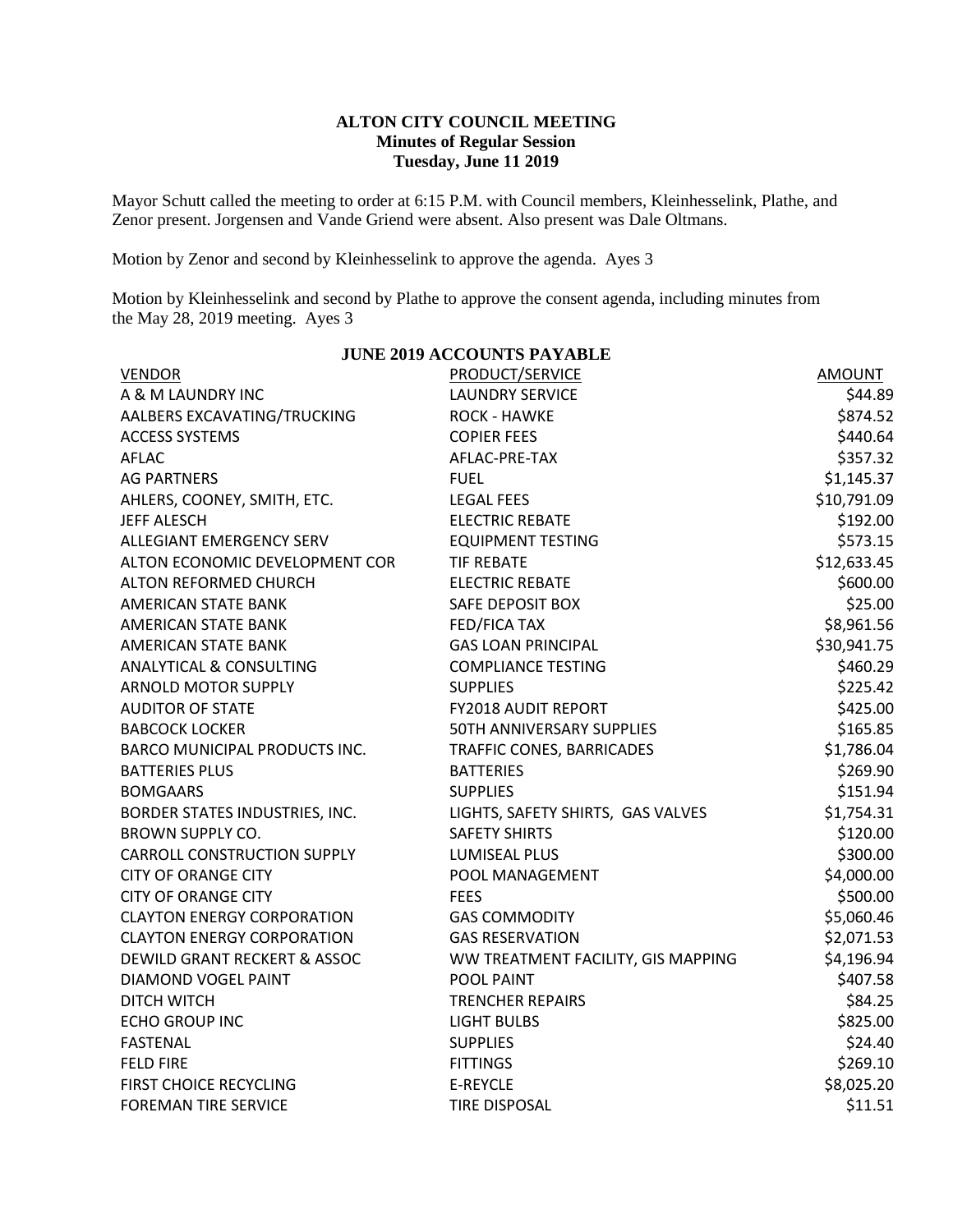## **ALTON CITY COUNCIL MEETING Minutes of Regular Session Tuesday, June 11 2019**

Mayor Schutt called the meeting to order at 6:15 P.M. with Council members, Kleinhesselink, Plathe, and Zenor present. Jorgensen and Vande Griend were absent. Also present was Dale Oltmans.

Motion by Zenor and second by Kleinhesselink to approve the agenda. Ayes 3

Motion by Kleinhesselink and second by Plathe to approve the consent agenda, including minutes from the May 28, 2019 meeting. Ayes 3

**JUNE 2019 ACCOUNTS PAYABLE**

| <b>VENDOR</b>                           | <b>PRODUCT/SERVICE</b>             | AMOUNT      |
|-----------------------------------------|------------------------------------|-------------|
| A & M LAUNDRY INC                       | <b>LAUNDRY SERVICE</b>             | \$44.89     |
| AALBERS EXCAVATING/TRUCKING             | <b>ROCK - HAWKE</b>                | \$874.52    |
| <b>ACCESS SYSTEMS</b>                   | <b>COPIER FEES</b>                 | \$440.64    |
| <b>AFLAC</b>                            | AFLAC-PRE-TAX                      | \$357.32    |
| <b>AG PARTNERS</b>                      | <b>FUEL</b>                        | \$1,145.37  |
| AHLERS, COONEY, SMITH, ETC.             | <b>LEGAL FEES</b>                  | \$10,791.09 |
| <b>JEFF ALESCH</b>                      | <b>ELECTRIC REBATE</b>             | \$192.00    |
| ALLEGIANT EMERGENCY SERV                | <b>EQUIPMENT TESTING</b>           | \$573.15    |
| ALTON ECONOMIC DEVELOPMENT COR          | <b>TIF REBATE</b>                  | \$12,633.45 |
| ALTON REFORMED CHURCH                   | <b>ELECTRIC REBATE</b>             | \$600.00    |
| AMERICAN STATE BANK                     | SAFE DEPOSIT BOX                   | \$25.00     |
| AMERICAN STATE BANK                     | <b>FED/FICA TAX</b>                | \$8,961.56  |
| <b>AMERICAN STATE BANK</b>              | <b>GAS LOAN PRINCIPAL</b>          | \$30,941.75 |
| <b>ANALYTICAL &amp; CONSULTING</b>      | <b>COMPLIANCE TESTING</b>          | \$460.29    |
| <b>ARNOLD MOTOR SUPPLY</b>              | <b>SUPPLIES</b>                    | \$225.42    |
| <b>AUDITOR OF STATE</b>                 | FY2018 AUDIT REPORT                | \$425.00    |
| <b>BABCOCK LOCKER</b>                   | 50TH ANNIVERSARY SUPPLIES          | \$165.85    |
| BARCO MUNICIPAL PRODUCTS INC.           | TRAFFIC CONES, BARRICADES          | \$1,786.04  |
| <b>BATTERIES PLUS</b>                   | <b>BATTERIES</b>                   | \$269.90    |
| <b>BOMGAARS</b>                         | <b>SUPPLIES</b>                    | \$151.94    |
| BORDER STATES INDUSTRIES, INC.          | LIGHTS, SAFETY SHIRTS, GAS VALVES  | \$1,754.31  |
| <b>BROWN SUPPLY CO.</b>                 | <b>SAFETY SHIRTS</b>               | \$120.00    |
| <b>CARROLL CONSTRUCTION SUPPLY</b>      | <b>LUMISEAL PLUS</b>               | \$300.00    |
| <b>CITY OF ORANGE CITY</b>              | POOL MANAGEMENT                    | \$4,000.00  |
| <b>CITY OF ORANGE CITY</b>              | <b>FEES</b>                        | \$500.00    |
| <b>CLAYTON ENERGY CORPORATION</b>       | <b>GAS COMMODITY</b>               | \$5,060.46  |
| <b>CLAYTON ENERGY CORPORATION</b>       | <b>GAS RESERVATION</b>             | \$2,071.53  |
| <b>DEWILD GRANT RECKERT &amp; ASSOC</b> | WW TREATMENT FACILITY, GIS MAPPING | \$4,196.94  |
| DIAMOND VOGEL PAINT                     | POOL PAINT                         | \$407.58    |
| <b>DITCH WITCH</b>                      | <b>TRENCHER REPAIRS</b>            | \$84.25     |
| <b>ECHO GROUP INC</b>                   | <b>LIGHT BULBS</b>                 | \$825.00    |
| <b>FASTENAL</b>                         | <b>SUPPLIES</b>                    | \$24.40     |
| <b>FELD FIRE</b>                        | <b>FITTINGS</b>                    | \$269.10    |
| FIRST CHOICE RECYCLING                  | E-REYCLE                           | \$8,025.20  |
| <b>FOREMAN TIRE SERVICE</b>             | <b>TIRE DISPOSAL</b>               | \$11.51     |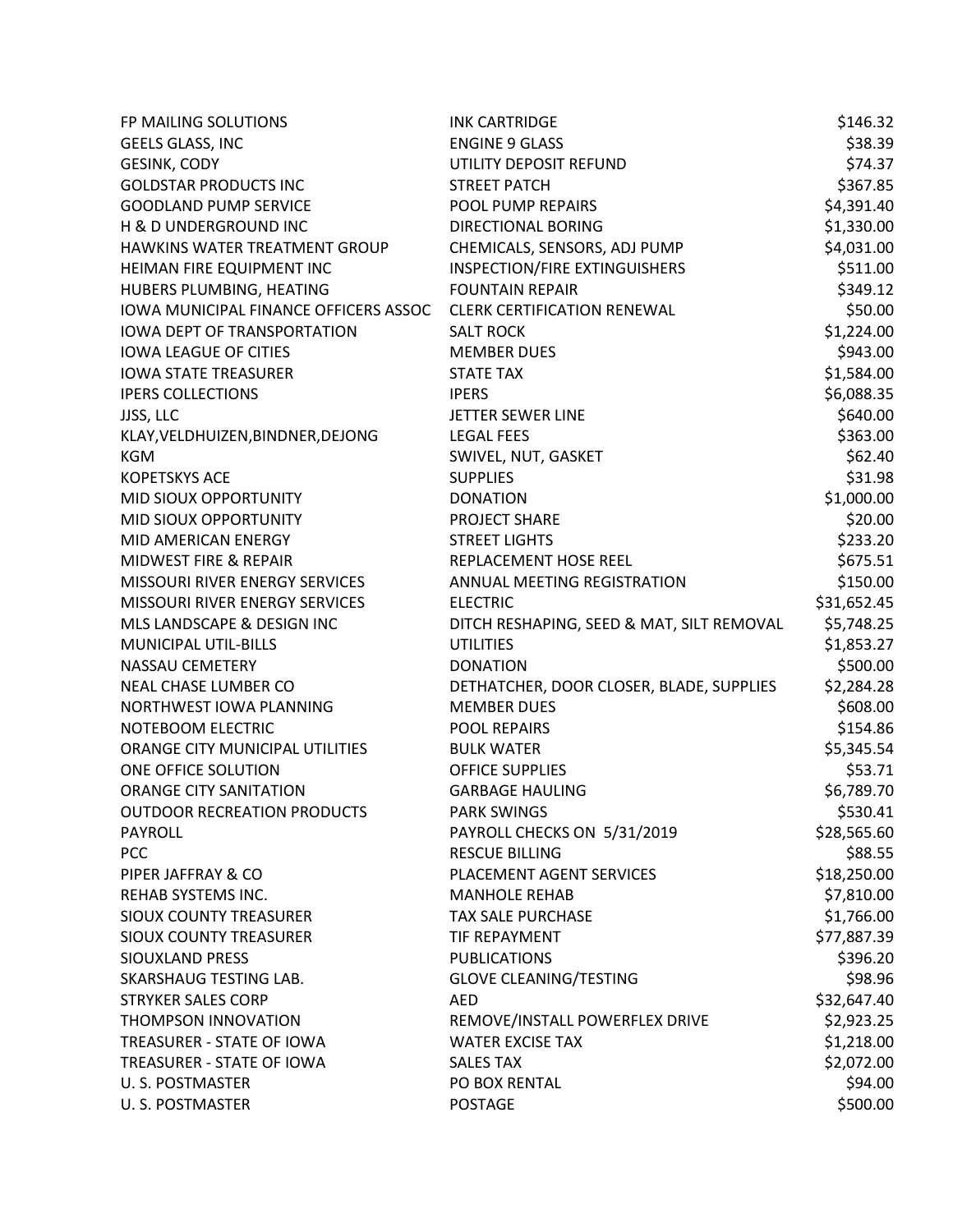| FP MAILING SOLUTIONS                  | <b>INK CARTRIDGE</b>                      | \$146.32    |
|---------------------------------------|-------------------------------------------|-------------|
| GEELS GLASS, INC                      | <b>ENGINE 9 GLASS</b>                     | \$38.39     |
| <b>GESINK, CODY</b>                   | UTILITY DEPOSIT REFUND                    | \$74.37     |
| <b>GOLDSTAR PRODUCTS INC</b>          | <b>STREET PATCH</b>                       | \$367.85    |
| <b>GOODLAND PUMP SERVICE</b>          | <b>POOL PUMP REPAIRS</b>                  | \$4,391.40  |
| H & D UNDERGROUND INC                 | <b>DIRECTIONAL BORING</b>                 | \$1,330.00  |
| HAWKINS WATER TREATMENT GROUP         | CHEMICALS, SENSORS, ADJ PUMP              | \$4,031.00  |
| HEIMAN FIRE EQUIPMENT INC             | <b>INSPECTION/FIRE EXTINGUISHERS</b>      | \$511.00    |
| HUBERS PLUMBING, HEATING              | <b>FOUNTAIN REPAIR</b>                    | \$349.12    |
| IOWA MUNICIPAL FINANCE OFFICERS ASSOC | <b>CLERK CERTIFICATION RENEWAL</b>        | \$50.00     |
| <b>IOWA DEPT OF TRANSPORTATION</b>    | <b>SALT ROCK</b>                          | \$1,224.00  |
| <b>IOWA LEAGUE OF CITIES</b>          | <b>MEMBER DUES</b>                        | \$943.00    |
| <b>IOWA STATE TREASURER</b>           | <b>STATE TAX</b>                          | \$1,584.00  |
| <b>IPERS COLLECTIONS</b>              | <b>IPERS</b>                              | \$6,088.35  |
| JJSS, LLC                             | JETTER SEWER LINE                         | \$640.00    |
| KLAY, VELDHUIZEN, BINDNER, DEJONG     | <b>LEGAL FEES</b>                         | \$363.00    |
| <b>KGM</b>                            | SWIVEL, NUT, GASKET                       | \$62.40     |
| <b>KOPETSKYS ACE</b>                  | <b>SUPPLIES</b>                           | \$31.98     |
| MID SIOUX OPPORTUNITY                 | <b>DONATION</b>                           | \$1,000.00  |
| MID SIOUX OPPORTUNITY                 | PROJECT SHARE                             | \$20.00     |
| <b>MID AMERICAN ENERGY</b>            | <b>STREET LIGHTS</b>                      | \$233.20    |
| MIDWEST FIRE & REPAIR                 | REPLACEMENT HOSE REEL                     | \$675.51    |
| MISSOURI RIVER ENERGY SERVICES        | ANNUAL MEETING REGISTRATION               | \$150.00    |
| MISSOURI RIVER ENERGY SERVICES        | <b>ELECTRIC</b>                           | \$31,652.45 |
| MLS LANDSCAPE & DESIGN INC            | DITCH RESHAPING, SEED & MAT, SILT REMOVAL | \$5,748.25  |
| MUNICIPAL UTIL-BILLS                  | <b>UTILITIES</b>                          | \$1,853.27  |
| <b>NASSAU CEMETERY</b>                | <b>DONATION</b>                           | \$500.00    |
| NEAL CHASE LUMBER CO                  | DETHATCHER, DOOR CLOSER, BLADE, SUPPLIES  | \$2,284.28  |
| NORTHWEST IOWA PLANNING               | <b>MEMBER DUES</b>                        | \$608.00    |
| NOTEBOOM ELECTRIC                     | POOL REPAIRS                              | \$154.86    |
| ORANGE CITY MUNICIPAL UTILITIES       | <b>BULK WATER</b>                         | \$5,345.54  |
| ONE OFFICE SOLUTION                   | <b>OFFICE SUPPLIES</b>                    | \$53.71     |
| <b>ORANGE CITY SANITATION</b>         | <b>GARBAGE HAULING</b>                    | \$6,789.70  |
| <b>OUTDOOR RECREATION PRODUCTS</b>    | <b>PARK SWINGS</b>                        | \$530.41    |
| <b>PAYROLL</b>                        | PAYROLL CHECKS ON 5/31/2019               | \$28,565.60 |
| PCC                                   | <b>RESCUE BILLING</b>                     | \$88.55     |
| PIPER JAFFRAY & CO                    | PLACEMENT AGENT SERVICES                  | \$18,250.00 |
| REHAB SYSTEMS INC.                    | <b>MANHOLE REHAB</b>                      | \$7,810.00  |
| <b>SIOUX COUNTY TREASURER</b>         | <b>TAX SALE PURCHASE</b>                  | \$1,766.00  |
| <b>SIOUX COUNTY TREASURER</b>         | <b>TIF REPAYMENT</b>                      | \$77,887.39 |
| <b>SIOUXLAND PRESS</b>                | <b>PUBLICATIONS</b>                       | \$396.20    |
| SKARSHAUG TESTING LAB.                | <b>GLOVE CLEANING/TESTING</b>             | \$98.96     |
| <b>STRYKER SALES CORP</b>             | AED                                       | \$32,647.40 |
| THOMPSON INNOVATION                   | REMOVE/INSTALL POWERFLEX DRIVE            | \$2,923.25  |
| TREASURER - STATE OF IOWA             | <b>WATER EXCISE TAX</b>                   | \$1,218.00  |
| TREASURER - STATE OF IOWA             | <b>SALES TAX</b>                          | \$2,072.00  |
| U. S. POSTMASTER                      | PO BOX RENTAL                             | \$94.00     |
| U.S. POSTMASTER                       | <b>POSTAGE</b>                            | \$500.00    |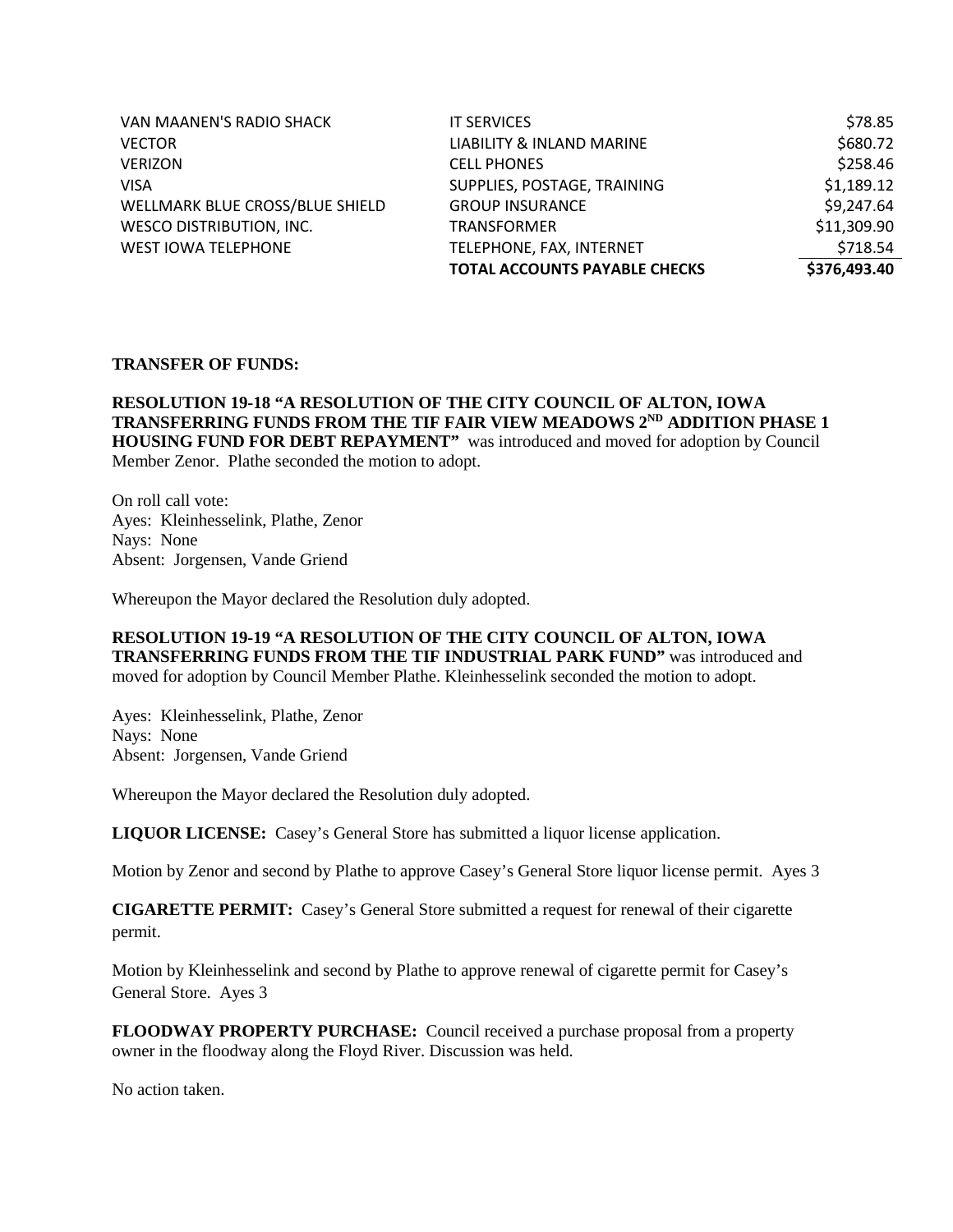| VAN MAANEN'S RADIO SHACK        | <b>IT SERVICES</b>                   | \$78.85      |
|---------------------------------|--------------------------------------|--------------|
| <b>VECTOR</b>                   | LIABILITY & INLAND MARINE            | \$680.72     |
| <b>VERIZON</b>                  | <b>CELL PHONES</b>                   | \$258.46     |
| <b>VISA</b>                     | SUPPLIES, POSTAGE, TRAINING          | \$1,189.12   |
| WELLMARK BLUE CROSS/BLUE SHIELD | <b>GROUP INSURANCE</b>               | \$9,247.64   |
| <b>WESCO DISTRIBUTION, INC.</b> | <b>TRANSFORMER</b>                   | \$11,309.90  |
| <b>WEST IOWA TELEPHONE</b>      | TELEPHONE, FAX, INTERNET             | \$718.54     |
|                                 | <b>TOTAL ACCOUNTS PAYABLE CHECKS</b> | \$376,493.40 |

## **TRANSFER OF FUNDS:**

**RESOLUTION 19-18 "A RESOLUTION OF THE CITY COUNCIL OF ALTON, IOWA TRANSFERRING FUNDS FROM THE TIF FAIR VIEW MEADOWS 2ND ADDITION PHASE 1 HOUSING FUND FOR DEBT REPAYMENT"** was introduced and moved for adoption by Council Member Zenor. Plathe seconded the motion to adopt.

On roll call vote: Ayes: Kleinhesselink, Plathe, Zenor Nays: None Absent: Jorgensen, Vande Griend

Whereupon the Mayor declared the Resolution duly adopted.

**RESOLUTION 19-19 "A RESOLUTION OF THE CITY COUNCIL OF ALTON, IOWA TRANSFERRING FUNDS FROM THE TIF INDUSTRIAL PARK FUND"** was introduced and moved for adoption by Council Member Plathe. Kleinhesselink seconded the motion to adopt.

Ayes: Kleinhesselink, Plathe, Zenor Nays: None Absent: Jorgensen, Vande Griend

Whereupon the Mayor declared the Resolution duly adopted.

**LIQUOR LICENSE:** Casey's General Store has submitted a liquor license application.

Motion by Zenor and second by Plathe to approve Casey's General Store liquor license permit. Ayes 3

**CIGARETTE PERMIT:** Casey's General Store submitted a request for renewal of their cigarette permit.

Motion by Kleinhesselink and second by Plathe to approve renewal of cigarette permit for Casey's General Store. Ayes 3

**FLOODWAY PROPERTY PURCHASE:** Council received a purchase proposal from a property owner in the floodway along the Floyd River. Discussion was held.

No action taken.